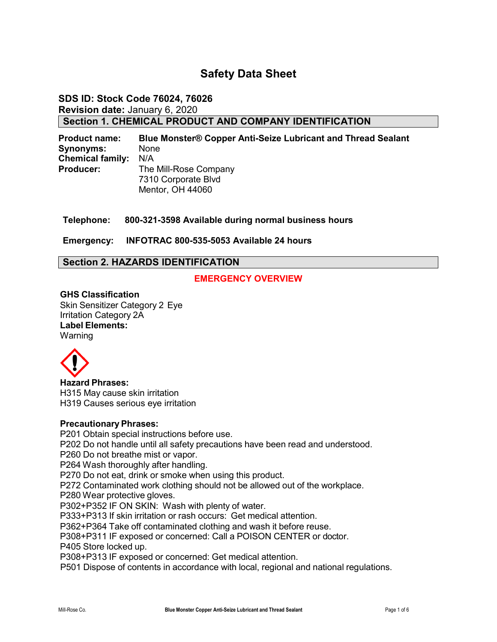# **Safety Data Sheet**

### **SDS ID: Stock Code 76024, 76026 Revision date:** January 6, 2020 **Section 1. CHEMICAL PRODUCT AND COMPANY IDENTIFICATION**

**Product name: Blue Monster® Copper Anti-Seize Lubricant and Thread Sealant Synonyms:** None **Chemical family:** N/A **Producer:** The Mill-Rose Company 7310 Corporate Blvd Mentor, OH 44060

**Telephone: 800-321-3598 Available during normal business hours**

**Emergency: INFOTRAC 800-535-5053 Available 24 hours**

### **Section 2. HAZARDS IDENTIFICATION**

### **EMERGENCY OVERVIEW**

**GHS Classification** Skin Sensitizer Category 2 Eye Irritation Category 2A **Label Elements: Warning** 



**Hazard Phrases:** H315 May cause skin irritation H319 Causes serious eye irritation

#### **Precautionary Phrases:**

P201 Obtain special instructions before use. P202 Do not handle until all safety precautions have been read and understood. P260 Do not breathe mist or vapor. P264 Wash thoroughly after handling. P270 Do not eat, drink or smoke when using this product. P272 Contaminated work clothing should not be allowed out of the workplace. P280 Wear protective gloves. P302+P352 IF ON SKIN: Wash with plenty of water. P333+P313 If skin irritation or rash occurs: Get medical attention. P362+P364 Take off contaminated clothing and wash it before reuse. P308+P311 IF exposed or concerned: Call a POISON CENTER or doctor. P405 Store locked up. P308+P313 IF exposed or concerned: Get medical attention. P501 Dispose of contents in accordance with local, regional and national regulations.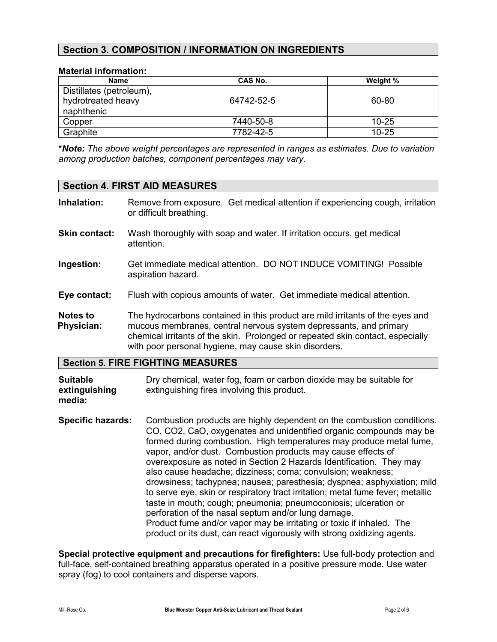## **Section 3. COMPOSITION / INFORMATION ON INGREDIENTS**

### **Material information:**

| <b>Name</b>                                                  | CAS No.    | Weight %  |
|--------------------------------------------------------------|------------|-----------|
| Distillates (petroleum),<br>hydrotreated heavy<br>naphthenic | 64742-52-5 | 60-80     |
| Copper                                                       | 7440-50-8  | $10 - 25$ |
| Graphite                                                     | 7782-42-5  | $10 - 25$ |

**\****Note: The above weight percentages are represented in ranges as estimates. Due to variation among production batches, component percentages may vary.*

#### **Section 4. FIRST AID MEASURES**

|                               | <b>Section 5. FIRE FIGHTING MEASURES</b>                                                                                                                                                                                                                                                      |
|-------------------------------|-----------------------------------------------------------------------------------------------------------------------------------------------------------------------------------------------------------------------------------------------------------------------------------------------|
| Notes to<br><b>Physician:</b> | The hydrocarbons contained in this product are mild irritants of the eyes and<br>mucous membranes, central nervous system depressants, and primary<br>chemical irritants of the skin. Prolonged or repeated skin contact, especially<br>with poor personal hygiene, may cause skin disorders. |
| Eye contact:                  | Flush with copious amounts of water. Get immediate medical attention.                                                                                                                                                                                                                         |
| Ingestion:                    | Get immediate medical attention. DO NOT INDUCE VOMITING! Possible<br>aspiration hazard.                                                                                                                                                                                                       |
| <b>Skin contact:</b>          | Wash thoroughly with soap and water. If irritation occurs, get medical<br>attention.                                                                                                                                                                                                          |
| Inhalation:                   | Remove from exposure. Get medical attention if experiencing cough, irritation<br>or difficult breathing.                                                                                                                                                                                      |

**Suitable Dry chemical, water fog, foam or carbon dioxide may be suitable for extinguishing** extinguishing fires involving this product. **media:**

**Specific hazards:** Combustion products are highly dependent on the combustion conditions. CO, CO2, CaO, oxygenates and unidentified organic compounds may be formed during combustion. High temperatures may produce metal fume, vapor, and/or dust. Combustion products may cause effects of overexposure as noted in Section 2 Hazards Identification. They may also cause headache; dizziness; coma; convulsion; weakness; drowsiness; tachypnea; nausea; paresthesia; dyspnea; asphyxiation; mild to serve eye, skin or respiratory tract irritation; metal fume fever; metallic taste in mouth; cough; pneumonia; pneumoconiosis; ulceration or perforation of the nasal septum and/or lung damage. Product fume and/or vapor may be irritating or toxic if inhaled. The product or its dust, can react vigorously with strong oxidizing agents.

**Special protective equipment and precautions for firefighters:** Use full-body protection and full-face, self-contained breathing apparatus operated in a positive pressure mode. Use water spray (fog) to cool containers and disperse vapors.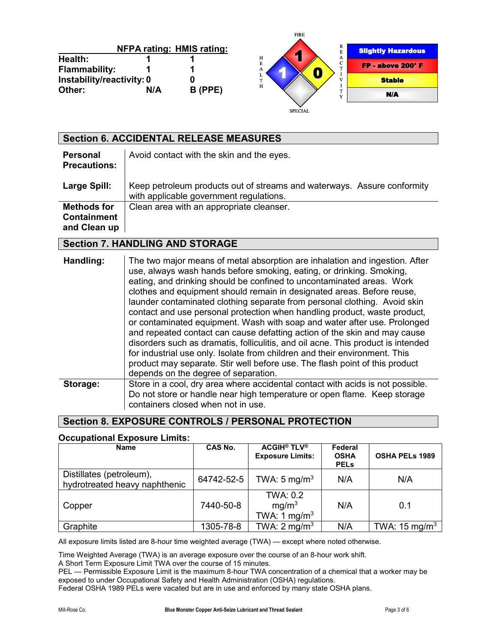|                           |     |                                  | <b>TIME</b>    |   |                           |
|---------------------------|-----|----------------------------------|----------------|---|---------------------------|
|                           |     | <b>NFPA rating: HMIS rating:</b> |                | R | <b>Slightly Hazardous</b> |
| Health:                   |     |                                  | ×<br>н         | A |                           |
| Flammability:             |     |                                  | E<br>А         | С | FP - above 200° F         |
| Instability/reactivity: 0 |     |                                  | $\mathbf{T}$   |   | <b>Stable</b>             |
| Other:                    | N/A | B (PPE)                          | H              |   |                           |
|                           |     |                                  |                |   | N/A                       |
|                           |     |                                  |                |   |                           |
|                           |     |                                  | <b>SPECIAL</b> |   |                           |

FIRE

|                                                          | <b>Section 6. ACCIDENTAL RELEASE MEASURES</b>                                                                      |
|----------------------------------------------------------|--------------------------------------------------------------------------------------------------------------------|
| <b>Personal</b><br><b>Precautions:</b>                   | Avoid contact with the skin and the eyes.                                                                          |
| Large Spill:                                             | Keep petroleum products out of streams and waterways. Assure conformity<br>with applicable government regulations. |
| <b>Methods for</b><br><b>Containment</b><br>and Clean up | Clean area with an appropriate cleanser.                                                                           |

### **Section 7. HANDLING AND STORAGE**

| Handling: | The two major means of metal absorption are inhalation and ingestion. After<br>use, always wash hands before smoking, eating, or drinking. Smoking,<br>eating, and drinking should be confined to uncontaminated areas. Work<br>clothes and equipment should remain in designated areas. Before reuse,<br>launder contaminated clothing separate from personal clothing. Avoid skin<br>contact and use personal protection when handling product, waste product,<br>or contaminated equipment. Wash with soap and water after use. Prolonged<br>and repeated contact can cause defatting action of the skin and may cause<br>disorders such as dramatis, folliculitis, and oil acne. This product is intended<br>for industrial use only. Isolate from children and their environment. This<br>product may separate. Stir well before use. The flash point of this product<br>depends on the degree of separation. |
|-----------|--------------------------------------------------------------------------------------------------------------------------------------------------------------------------------------------------------------------------------------------------------------------------------------------------------------------------------------------------------------------------------------------------------------------------------------------------------------------------------------------------------------------------------------------------------------------------------------------------------------------------------------------------------------------------------------------------------------------------------------------------------------------------------------------------------------------------------------------------------------------------------------------------------------------|
| Storage:  | Store in a cool, dry area where accidental contact with acids is not possible.<br>Do not store or handle near high temperature or open flame. Keep storage<br>containers closed when not in use.                                                                                                                                                                                                                                                                                                                                                                                                                                                                                                                                                                                                                                                                                                                   |

# **Section 8. EXPOSURE CONTROLS / PERSONAL PROTECTION**

#### **Occupational Exposure Limits:**

| <b>Name</b>                                               | CAS No.    | <b>ACGIH<sup>®</sup> TLV<sup>®</sup></b><br><b>Exposure Limits:</b> | Federal<br><b>OSHA</b><br><b>PELS</b> | <b>OSHA PELS 1989</b>    |
|-----------------------------------------------------------|------------|---------------------------------------------------------------------|---------------------------------------|--------------------------|
| Distillates (petroleum),<br>hydrotreated heavy naphthenic | 64742-52-5 | TWA: $5 \text{ mg/m}^3$                                             | N/A                                   | N/A                      |
| Copper                                                    | 7440-50-8  | <b>TWA: 0.2</b><br>mg/m <sup>3</sup><br>TWA: 1 mg/m <sup>3</sup>    | N/A                                   | 0.1                      |
| Graphite                                                  | 1305-78-8  | TWA: $2 \text{ mg/m}^3$                                             | N/A                                   | TWA: $15 \text{ mg/m}^3$ |

All exposure limits listed are 8-hour time weighted average (TWA) — except where noted otherwise.

Time Weighted Average (TWA) is an average exposure over the course of an 8-hour work shift.

A Short Term Exposure Limit TWA over the course of 15 minutes.

PEL — Permissible Exposure Limit is the maximum 8-hour TWA concentration of a chemical that a worker may be exposed to under Occupational Safety and Health Administration (OSHA) regulations.

Federal OSHA 1989 PELs were vacated but are in use and enforced by many state OSHA plans.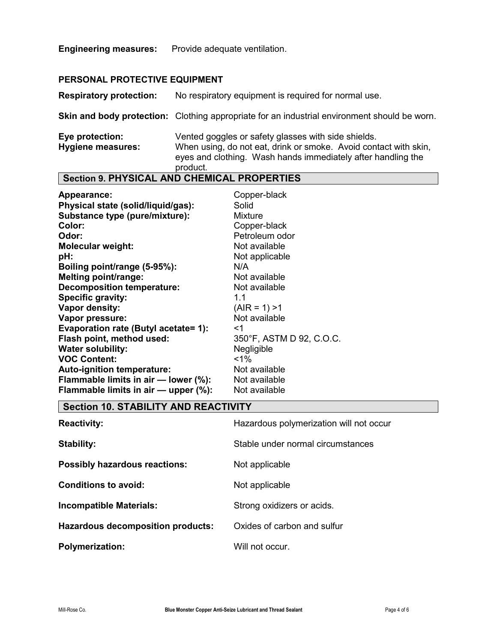**Engineering measures:** Provide adequate ventilation.

### **PERSONAL PROTECTIVE EQUIPMENT**

**Respiratory protection:** No respiratory equipment is required for normal use.

**Skin and body protection:** Clothing appropriate for an industrial environment should be worn.

| Eye protection:   | Vented goggles or safety glasses with side shields.              |
|-------------------|------------------------------------------------------------------|
| Hygiene measures: | When using, do not eat, drink or smoke. Avoid contact with skin, |
|                   | eyes and clothing. Wash hands immediately after handling the     |
|                   | product.                                                         |

# **Section 9. PHYSICAL AND CHEMICAL PROPERTIES**

| Appearance:                          | Copper-black             |
|--------------------------------------|--------------------------|
| Physical state (solid/liquid/gas):   | Solid                    |
| Substance type (pure/mixture):       | <b>Mixture</b>           |
| Color:                               | Copper-black             |
| Odor:                                | Petroleum odor           |
| <b>Molecular weight:</b>             | Not available            |
| pH:                                  | Not applicable           |
| Boiling point/range (5-95%):         | N/A                      |
| <b>Melting point/range:</b>          | Not available            |
| <b>Decomposition temperature:</b>    | Not available            |
| <b>Specific gravity:</b>             | 1.1                      |
| Vapor density:                       | $(AIR = 1) > 1$          |
| Vapor pressure:                      | Not available            |
| Evaporation rate (Butyl acetate= 1): | <1                       |
| Flash point, method used:            | 350°F, ASTM D 92, C.O.C. |
| <b>Water solubility:</b>             | Negligible               |
| <b>VOC Content:</b>                  | $1\%$                    |
| Auto-ignition temperature:           | Not available            |
| Flammable limits in air - lower (%): | Not available            |
| Flammable limits in air - upper (%): | Not available            |

### **Section 10. STABILITY AND REACTIVITY**

| <b>Reactivity:</b>                       | Hazardous polymerization will not occur |
|------------------------------------------|-----------------------------------------|
| Stability:                               | Stable under normal circumstances       |
| <b>Possibly hazardous reactions:</b>     | Not applicable                          |
| Conditions to avoid:                     | Not applicable                          |
| <b>Incompatible Materials:</b>           | Strong oxidizers or acids.              |
| <b>Hazardous decomposition products:</b> | Oxides of carbon and sulfur             |
| <b>Polymerization:</b>                   | Will not occur.                         |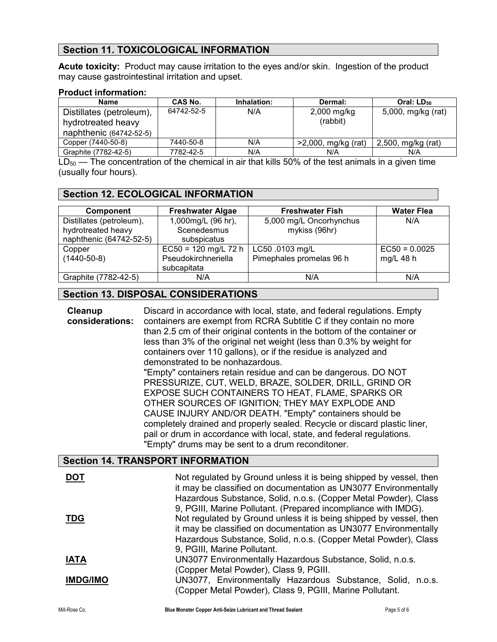# **Section 11. TOXICOLOGICAL INFORMATION**

**Acute toxicity:** Product may cause irritation to the eyes and/or skin. Ingestion of the product may cause gastrointestinal irritation and upset.

#### **Product information:**

| <b>Name</b>              | CAS No.    | Inhalation: | Dermal:                | Oral: LD <sub>50</sub> |
|--------------------------|------------|-------------|------------------------|------------------------|
| Distillates (petroleum), | 64742-52-5 | N/A         | $2,000$ mg/kg          | 5,000, mg/kg (rat)     |
| hydrotreated heavy       |            |             | (rabbit)               |                        |
| naphthenic (64742-52-5)  |            |             |                        |                        |
| Copper (7440-50-8)       | 7440-50-8  | N/A         | $>2,000$ , mg/kg (rat) | 2,500, mg/kg (rat)     |
| Graphite (7782-42-5)     | 7782-42-5  | N/A         | N/A                    | N/A                    |

 $LD_{50}$  — The concentration of the chemical in air that kills 50% of the test animals in a given time (usually four hours).

### **Section 12. ECOLOGICAL INFORMATION**

| <b>Component</b>         | <b>Freshwater Algae</b> | <b>Freshwater Fish</b>   | <b>Water Flea</b> |
|--------------------------|-------------------------|--------------------------|-------------------|
| Distillates (petroleum), | 1,000mg/L (96 hr),      | 5,000 mg/L Oncorhynchus  | N/A               |
| hydrotreated heavy       | Scenedesmus             | mykiss (96hr)            |                   |
| naphthenic (64742-52-5)  | subspicatus             |                          |                   |
| Copper                   | $EC50 = 120$ mg/L 72 h  | LC50 .0103 mg/L          | $EC50 = 0.0025$   |
| $(1440-50-8)$            | Pseudokirchneriella     | Pimephales promelas 96 h | mg/L $48 h$       |
|                          | subcapitata             |                          |                   |
| Graphite (7782-42-5)     | N/A                     | N/A                      | N/A               |

## **Section 13. DISPOSAL CONSIDERATIONS**

| Cleanup<br>considerations: | Discard in accordance with local, state, and federal regulations. Empty<br>containers are exempt from RCRA Subtitle C if they contain no more<br>than 2.5 cm of their original contents in the bottom of the container or<br>less than 3% of the original net weight (less than 0.3% by weight for<br>containers over 110 gallons), or if the residue is analyzed and<br>demonstrated to be nonhazardous.<br>"Empty" containers retain residue and can be dangerous. DO NOT<br>PRESSURIZE, CUT, WELD, BRAZE, SOLDER, DRILL, GRIND OR<br>EXPOSE SUCH CONTAINERS TO HEAT, FLAME, SPARKS OR<br>OTHER SOURCES OF IGNITION; THEY MAY EXPLODE AND<br>CAUSE INJURY AND/OR DEATH. "Empty" containers should be<br>completely drained and properly sealed. Recycle or discard plastic liner,<br>pail or drum in accordance with local, state, and federal regulations.<br>"Empty" drums may be sent to a drum reconditoner. |
|----------------------------|--------------------------------------------------------------------------------------------------------------------------------------------------------------------------------------------------------------------------------------------------------------------------------------------------------------------------------------------------------------------------------------------------------------------------------------------------------------------------------------------------------------------------------------------------------------------------------------------------------------------------------------------------------------------------------------------------------------------------------------------------------------------------------------------------------------------------------------------------------------------------------------------------------------------|
|                            | <b>Section 14. TRANSPORT INFORMATION</b>                                                                                                                                                                                                                                                                                                                                                                                                                                                                                                                                                                                                                                                                                                                                                                                                                                                                           |
| <b>DOT</b>                 | Not regulated by Ground unless it is being shipped by vessel, then                                                                                                                                                                                                                                                                                                                                                                                                                                                                                                                                                                                                                                                                                                                                                                                                                                                 |
| <u>TDG</u>                 | it may be classified on documentation as UN3077 Environmentally<br>Hazardous Substance, Solid, n.o.s. (Copper Metal Powder), Class<br>9, PGIII, Marine Pollutant. (Prepared incompliance with IMDG).<br>Not regulated by Ground unless it is being shipped by vessel, then<br>it may be classified on documentation as UN3077 Environmentally<br>Hazardous Substance, Solid, n.o.s. (Copper Metal Powder), Class<br>9, PGIII, Marine Pollutant.                                                                                                                                                                                                                                                                                                                                                                                                                                                                    |
| <b>IATA</b>                | UN3077 Environmentally Hazardous Substance, Solid, n.o.s.                                                                                                                                                                                                                                                                                                                                                                                                                                                                                                                                                                                                                                                                                                                                                                                                                                                          |
|                            | (Copper Metal Powder), Class 9, PGIII.                                                                                                                                                                                                                                                                                                                                                                                                                                                                                                                                                                                                                                                                                                                                                                                                                                                                             |
| <b>IMDG/IMO</b>            | UN3077, Environmentally Hazardous Substance, Solid, n.o.s.<br>(Copper Metal Powder), Class 9, PGIII, Marine Pollutant.                                                                                                                                                                                                                                                                                                                                                                                                                                                                                                                                                                                                                                                                                                                                                                                             |